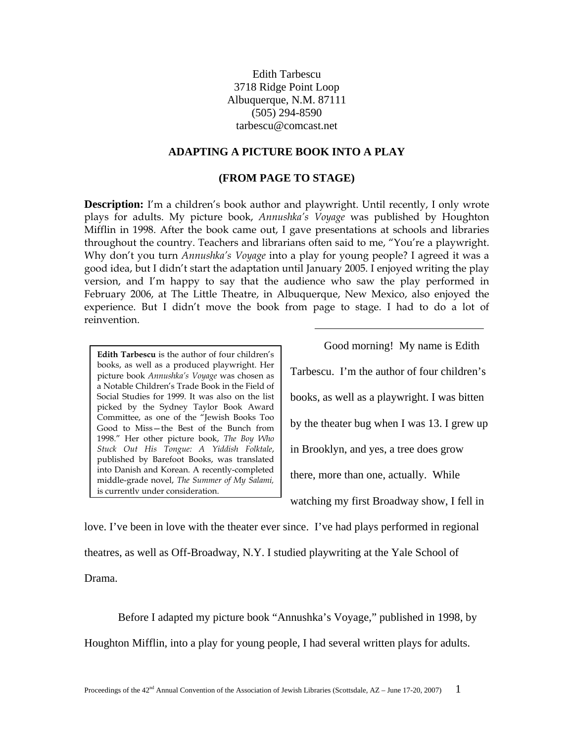Edith Tarbescu 3718 Ridge Point Loop Albuquerque, N.M. 87111 (505) 294-8590 tarbescu@comcast.net

## **ADAPTING A PICTURE BOOK INTO A PLAY**

## **(FROM PAGE TO STAGE)**

**Description:** I'm a children's book author and playwright. Until recently, I only wrote plays for adults. My picture book, *Annushka's Voyage* was published by Houghton Mifflin in 1998. After the book came out, I gave presentations at schools and libraries throughout the country. Teachers and librarians often said to me, "You're a playwright. Why don't you turn *Annushka's Voyage* into a play for young people? I agreed it was a good idea, but I didn't start the adaptation until January 2005. I enjoyed writing the play version, and I'm happy to say that the audience who saw the play performed in February 2006, at The Little Theatre, in Albuquerque, New Mexico, also enjoyed the experience. But I didn't move the book from page to stage. I had to do a lot of reinvention.

**Edith Tarbescu** is the author of four children's books, as well as a produced playwright. Her picture book *Annushka's Voyage* was chosen as a Notable Children's Trade Book in the Field of Social Studies for 1999. It was also on the list picked by the Sydney Taylor Book Award Committee, as one of the "Jewish Books Too Good to Miss—the Best of the Bunch from 1998." Her other picture book, *The Boy Who Stuck Out His Tongue: A Yiddish Folktale*, published by Barefoot Books, was translated into Danish and Korean. A recently-completed middle-grade novel, *The Summer of My Salami,* is currently under consideration.

 Good morning! My name is Edith Tarbescu. I'm the author of four children's books, as well as a playwright. I was bitten by the theater bug when I was 13. I grew up in Brooklyn, and yes, a tree does grow there, more than one, actually. While watching my first Broadway show, I fell in

love. I've been in love with the theater ever since. I've had plays performed in regional theatres, as well as Off-Broadway, N.Y. I studied playwriting at the Yale School of Drama.

Before I adapted my picture book "Annushka's Voyage," published in 1998, by Houghton Mifflin, into a play for young people, I had several written plays for adults.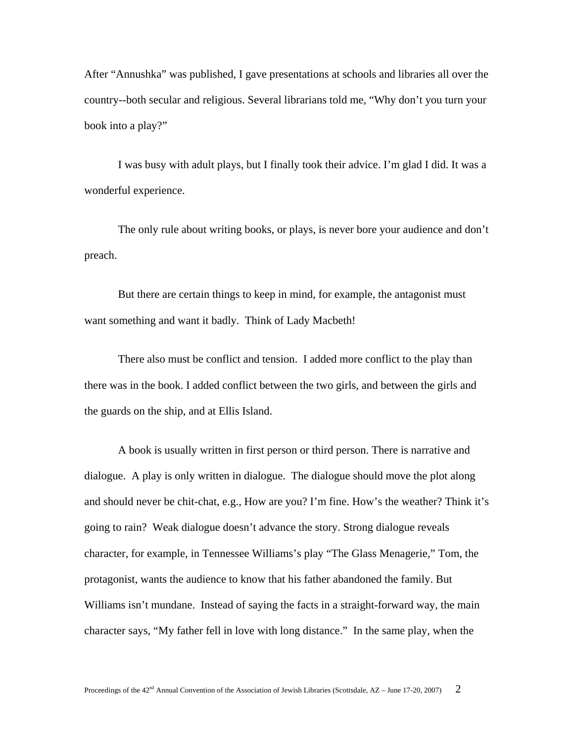After "Annushka" was published, I gave presentations at schools and libraries all over the country--both secular and religious. Several librarians told me, "Why don't you turn your book into a play?"

 I was busy with adult plays, but I finally took their advice. I'm glad I did. It was a wonderful experience.

The only rule about writing books, or plays, is never bore your audience and don't preach.

But there are certain things to keep in mind, for example, the antagonist must want something and want it badly. Think of Lady Macbeth!

 There also must be conflict and tension. I added more conflict to the play than there was in the book. I added conflict between the two girls, and between the girls and the guards on the ship, and at Ellis Island.

 A book is usually written in first person or third person. There is narrative and dialogue. A play is only written in dialogue. The dialogue should move the plot along and should never be chit-chat, e.g., How are you? I'm fine. How's the weather? Think it's going to rain? Weak dialogue doesn't advance the story. Strong dialogue reveals character, for example, in Tennessee Williams's play "The Glass Menagerie," Tom, the protagonist, wants the audience to know that his father abandoned the family. But Williams isn't mundane. Instead of saying the facts in a straight-forward way, the main character says, "My father fell in love with long distance." In the same play, when the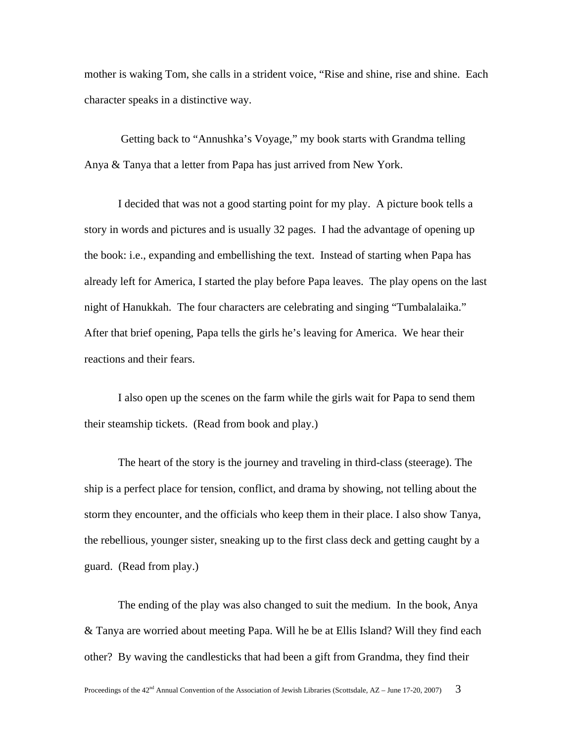mother is waking Tom, she calls in a strident voice, "Rise and shine, rise and shine. Each character speaks in a distinctive way.

 Getting back to "Annushka's Voyage," my book starts with Grandma telling Anya & Tanya that a letter from Papa has just arrived from New York.

 I decided that was not a good starting point for my play. A picture book tells a story in words and pictures and is usually 32 pages. I had the advantage of opening up the book: i.e., expanding and embellishing the text. Instead of starting when Papa has already left for America, I started the play before Papa leaves. The play opens on the last night of Hanukkah. The four characters are celebrating and singing "Tumbalalaika." After that brief opening, Papa tells the girls he's leaving for America. We hear their reactions and their fears.

 I also open up the scenes on the farm while the girls wait for Papa to send them their steamship tickets. (Read from book and play.)

 The heart of the story is the journey and traveling in third-class (steerage). The ship is a perfect place for tension, conflict, and drama by showing, not telling about the storm they encounter, and the officials who keep them in their place. I also show Tanya, the rebellious, younger sister, sneaking up to the first class deck and getting caught by a guard. (Read from play.)

 The ending of the play was also changed to suit the medium. In the book, Anya & Tanya are worried about meeting Papa. Will he be at Ellis Island? Will they find each other? By waving the candlesticks that had been a gift from Grandma, they find their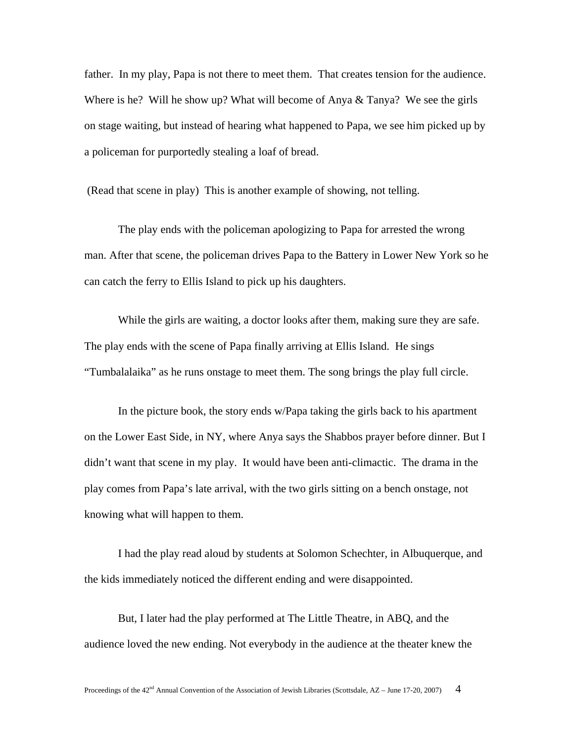father. In my play, Papa is not there to meet them. That creates tension for the audience. Where is he? Will he show up? What will become of Anya  $\&$  Tanya? We see the girls on stage waiting, but instead of hearing what happened to Papa, we see him picked up by a policeman for purportedly stealing a loaf of bread.

(Read that scene in play) This is another example of showing, not telling.

 The play ends with the policeman apologizing to Papa for arrested the wrong man. After that scene, the policeman drives Papa to the Battery in Lower New York so he can catch the ferry to Ellis Island to pick up his daughters.

 While the girls are waiting, a doctor looks after them, making sure they are safe. The play ends with the scene of Papa finally arriving at Ellis Island. He sings "Tumbalalaika" as he runs onstage to meet them. The song brings the play full circle.

 In the picture book, the story ends w/Papa taking the girls back to his apartment on the Lower East Side, in NY, where Anya says the Shabbos prayer before dinner. But I didn't want that scene in my play. It would have been anti-climactic. The drama in the play comes from Papa's late arrival, with the two girls sitting on a bench onstage, not knowing what will happen to them.

I had the play read aloud by students at Solomon Schechter, in Albuquerque, and the kids immediately noticed the different ending and were disappointed.

But, I later had the play performed at The Little Theatre, in ABQ, and the audience loved the new ending. Not everybody in the audience at the theater knew the